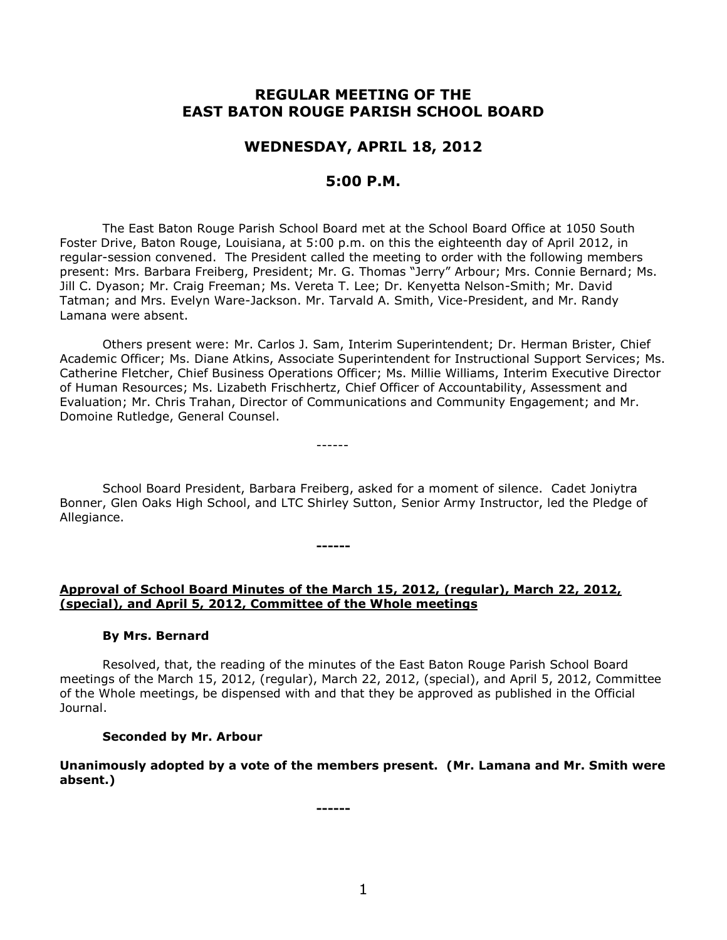# **REGULAR MEETING OF THE EAST BATON ROUGE PARISH SCHOOL BOARD**

# **WEDNESDAY, APRIL 18, 2012**

# **5:00 P.M.**

The East Baton Rouge Parish School Board met at the School Board Office at 1050 South Foster Drive, Baton Rouge, Louisiana, at 5:00 p.m. on this the eighteenth day of April 2012, in regular-session convened. The President called the meeting to order with the following members present: Mrs. Barbara Freiberg, President; Mr. G. Thomas "Jerry" Arbour; Mrs. Connie Bernard; Ms. Jill C. Dyason; Mr. Craig Freeman; Ms. Vereta T. Lee; Dr. Kenyetta Nelson-Smith; Mr. David Tatman; and Mrs. Evelyn Ware-Jackson. Mr. Tarvald A. Smith, Vice-President, and Mr. Randy Lamana were absent.

Others present were: Mr. Carlos J. Sam, Interim Superintendent; Dr. Herman Brister, Chief Academic Officer; Ms. Diane Atkins, Associate Superintendent for Instructional Support Services; Ms. Catherine Fletcher, Chief Business Operations Officer; Ms. Millie Williams, Interim Executive Director of Human Resources; Ms. Lizabeth Frischhertz, Chief Officer of Accountability, Assessment and Evaluation; Mr. Chris Trahan, Director of Communications and Community Engagement; and Mr. Domoine Rutledge, General Counsel.

------

School Board President, Barbara Freiberg, asked for a moment of silence. Cadet Joniytra Bonner, Glen Oaks High School, and LTC Shirley Sutton, Senior Army Instructor, led the Pledge of Allegiance.

#### **Approval of School Board Minutes of the March 15, 2012, (regular), March 22, 2012, (special), and April 5, 2012, Committee of the Whole meetings**

**------**

#### **By Mrs. Bernard**

Resolved, that, the reading of the minutes of the East Baton Rouge Parish School Board meetings of the March 15, 2012, (regular), March 22, 2012, (special), and April 5, 2012, Committee of the Whole meetings, be dispensed with and that they be approved as published in the Official Journal.

#### **Seconded by Mr. Arbour**

### **Unanimously adopted by a vote of the members present. (Mr. Lamana and Mr. Smith were absent.)**

**------**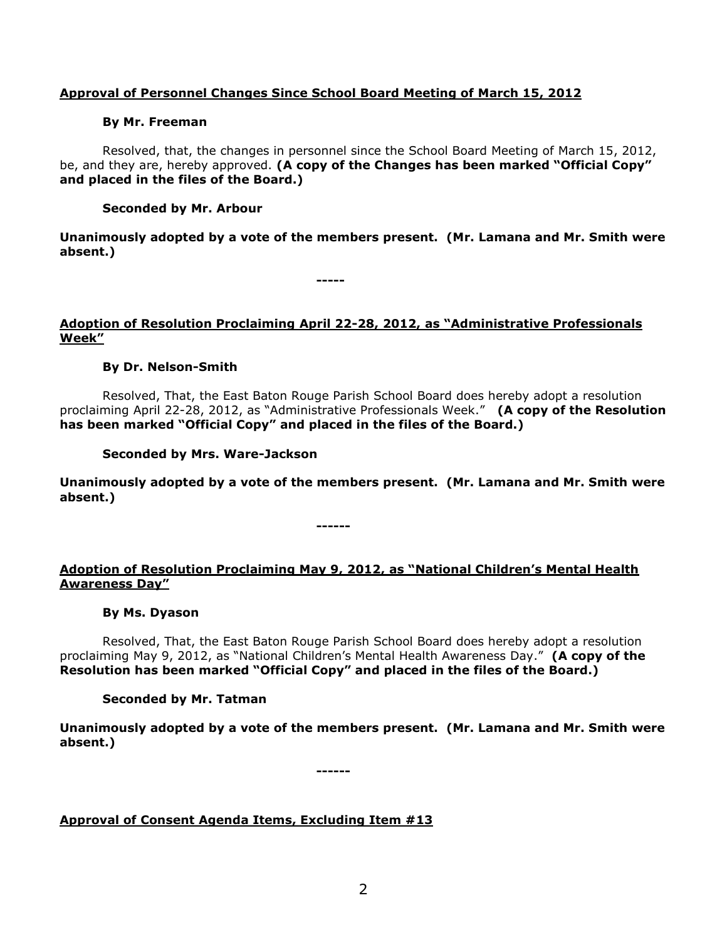### **Approval of Personnel Changes Since School Board Meeting of March 15, 2012**

### **By Mr. Freeman**

Resolved, that, the changes in personnel since the School Board Meeting of March 15, 2012, be, and they are, hereby approved. **(A copy of the Changes has been marked "Official Copy" and placed in the files of the Board.)**

## **Seconded by Mr. Arbour**

**Unanimously adopted by a vote of the members present. (Mr. Lamana and Mr. Smith were absent.)**

**-----**

## **Adoption of Resolution Proclaiming April 22-28, 2012, as "Administrative Professionals Week"**

## **By Dr. Nelson-Smith**

Resolved, That, the East Baton Rouge Parish School Board does hereby adopt a resolution proclaiming April 22-28, 2012, as "Administrative Professionals Week." **(A copy of the Resolution has been marked "Official Copy" and placed in the files of the Board.)**

## **Seconded by Mrs. Ware-Jackson**

**Unanimously adopted by a vote of the members present. (Mr. Lamana and Mr. Smith were absent.)**

**------**

## **Adoption of Resolution Proclaiming May 9, 2012, as "National Children's Mental Health Awareness Day"**

#### **By Ms. Dyason**

Resolved, That, the East Baton Rouge Parish School Board does hereby adopt a resolution proclaiming May 9, 2012, as "National Children's Mental Health Awareness Day." **(A copy of the Resolution has been marked "Official Copy" and placed in the files of the Board.)**

# **Seconded by Mr. Tatman**

**Unanimously adopted by a vote of the members present. (Mr. Lamana and Mr. Smith were absent.)**

**------**

# **Approval of Consent Agenda Items, Excluding Item #13**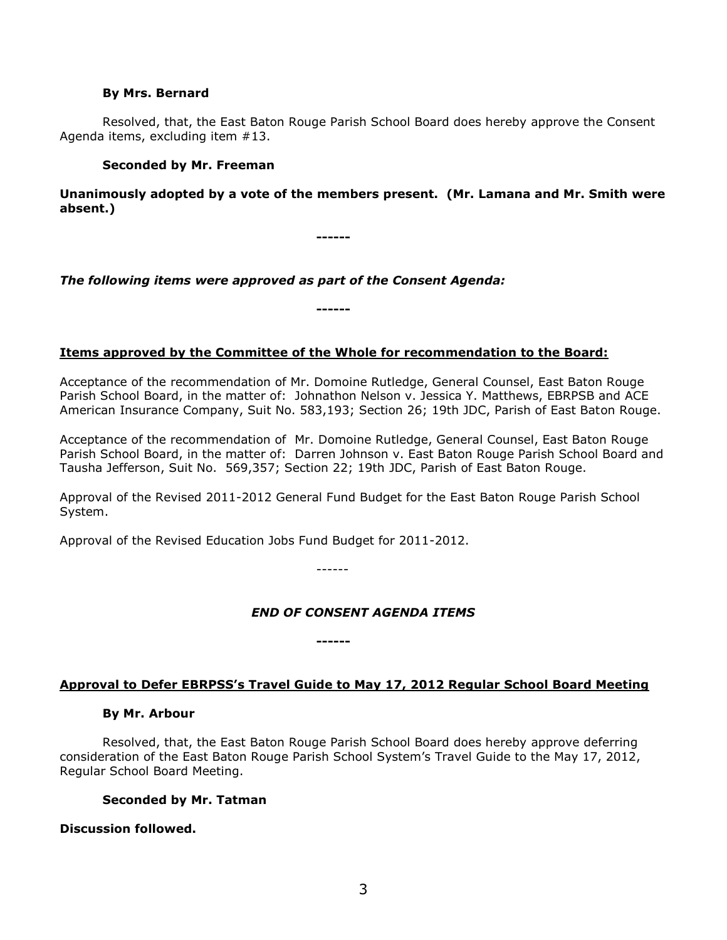#### **By Mrs. Bernard**

Resolved, that, the East Baton Rouge Parish School Board does hereby approve the Consent Agenda items, excluding item #13.

#### **Seconded by Mr. Freeman**

**Unanimously adopted by a vote of the members present. (Mr. Lamana and Mr. Smith were absent.)**

**------**

*The following items were approved as part of the Consent Agenda:*

**Items approved by the Committee of the Whole for recommendation to the Board:** 

**------**

Acceptance of the recommendation of Mr. Domoine Rutledge, General Counsel, East Baton Rouge Parish School Board, in the matter of: Johnathon Nelson v. Jessica Y. Matthews, EBRPSB and ACE American Insurance Company, Suit No. 583,193; Section 26; 19th JDC, Parish of East Baton Rouge.

Acceptance of the recommendation of Mr. Domoine Rutledge, General Counsel, East Baton Rouge Parish School Board, in the matter of: Darren Johnson v. East Baton Rouge Parish School Board and Tausha Jefferson, Suit No. 569,357; Section 22; 19th JDC, Parish of East Baton Rouge.

Approval of the Revised 2011-2012 General Fund Budget for the East Baton Rouge Parish School System.

Approval of the Revised Education Jobs Fund Budget for 2011-2012.

------

# *END OF CONSENT AGENDA ITEMS*

**------**

# **Approval to Defer EBRPSS's Travel Guide to May 17, 2012 Regular School Board Meeting**

#### **By Mr. Arbour**

Resolved, that, the East Baton Rouge Parish School Board does hereby approve deferring consideration of the East Baton Rouge Parish School System's Travel Guide to the May 17, 2012, Regular School Board Meeting.

#### **Seconded by Mr. Tatman**

**Discussion followed.**